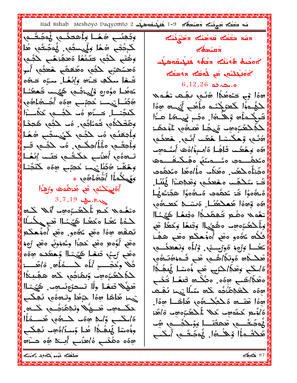End Bshab Meshoyo Daqyomto 2 مَعْمُد 1-9 مَتَّفَّة 1-9 مَتَّفَّة بِهِيمَة Had Bshab Meshoyo Daqyomto وكَعِنَى وَكَعْمَاهِ وَأَهْمَا مِنْهُمْ مِنْقَصَ مكفرقته محنفسة محفت مفع لَّهُ رِعَتْهُ وَعَلَى الْمَاهُ مِنْكُمْ وَعَلَيْكُمْ مَنْ الْمَاهَامِينَ مِنْ  $\kappa$  during  $\kappa$ وَهُلْمٍ لِلَجُورِ حَسُلُهُا هَمْجَزَهُبِ لِلْجُورِ مهمشبكيف خاطع حثنغاه الممعرك ەَھسَعبَى لهُمَى وَهُقِقَى هَعْفُو أُمِر بلختافته بلفظ بة مشكلبكاهيه تُممُا ملكَ حَـْرُه وَإِنْعُـاً. مـبُرَه حَـهُه  $6.12.26$  ه.م.حد.حد لَّمُعَكُمْ مَهْوَمٍ وَإِلَيْهِمْ مَنْ الْمُعَكَّسَاتِ مِنْ الْمُعَكَّسَاتِ الأم تَمَّمَعُكُمُ الْمُعْمَّدِ مَعْدَمَة مِنَّاسَة مِنْ رەڤكىلشىن ئەھەربېتىن ئىسرىكىلىش لمُهْدوُّا لَكْمَرْكِنَّدَ مِلَّمُن كَيْبِهِ هِوَا كَلَّكِتْسَاً. فَسَنُو هُفَ لَكِشْنَا كَلَّكْسَنَّا تُعِبُّـدِلُمِ وَلِكُـمُّا. وَجُـبِ بَيْـِمُّا هـُـُوْا وَهَٰتَـٰذُهُو ۚ ثُـٰهَـٰمُائُـُو ۖ هُـ ـٰذَٰہُو ۖ هُـِدْ ا وأحقتُم مجْسِرِيْكُ رِمَجْكَ مَاهُ رَمَّتُهُمْ الْمَحْمَلَ |شَابِ وَحَكَّسْاً هَيْبِ أَنَّوِ. هَعْنُو وأَحِثُــم ه أَلَمُ/حِكْــم . هُــ حَجَّــم كَــرِ ادَّە وَحَقَّــا قَاصَا دَالْبَوْادُھا اُمْـــەن تــ30% أُهزَّى مكْتَفَـــهِ حَتَــا إِنْهُــا ەڭدەگىسەم ەشىمەنىڭ ھېنگىنۇسسەھ وَهَقَدْ هُجَٰلٌا يَهِدْ مُحِبَّبٍ هِهَم كُنْجَمْا وجُزْلُوهُمْن وهُنِكُ وبُرُوهُمْ ومُنَهُوب وَوَى كُمَا أَجْدَهُ الْمَصْرِهِ وَ َّكْمَ مَكْكِّبٍ مَعْعَكُمٍ وَهُدِّهِمْ ۚ لَهُ لَكُمُّا ۖ. أَهْلِيَكْتُمْ هُمْ هُرْهُُمُ وَرُكِيرُاهَ أَ هُ دِهُوا خَز عَدِهُوبَ هُـــوُومُوا هِجُزْشُولُــا  $3.7.19$   $\rightarrow$   $\cdot$ 60 زَ30\$ هُمحمَنُها. ةَبِسْمْ كَعِيدَةَ هتمٌه مه كم لم المكتبة وهوب أأملا كم تَعْمَلا مَمُع خَفِعَدِ﴾ا مِثْبَهَا هَيُهَا! للْمُكْرِ مِمَّا الْمُرْقَّ الْمُدَّه الْمُدَ الْمَدَّ وَلَمِكْتَبُوهِ وَهُوَيِّ الْمَرْكَفَّةُ وَكَتَفًا مِّنَّ وَلَا يَجْمَعُوا مِّنَّ تَعْقُدُهُ وَهَا وَقْعَ مُّؤُورٍ. وَقْعَ أَوْزُهَكُمْ ثَلُه مُثَ0و 0مْع أَ0فُعْلَام 0مْع هِجَا ءهُم أَوُّهِ وهُم تَنجُزُا وِشُوْوِبُ وهُمْ رُووْ كَتْمَــا وَرُومْ هُورُئِـــْرُ. وْالْمُه وَتَعْمَدْــهِ ەقع ئېلى تىشا ھَيُسْلا وُھھُدە ھە هَكُــُـٰهُ٫ هُوِنۡـُمُ/هُــم ِ هَــ فُــووۡهُكُنُوۡم ٖ ثَلا وبُحْبَـــــ إلَماه حــــــهُلُمس ةاهَــــــز كَٱسْكُمِ وَهْكَأَٱلْحَرَٰجِي هُجِ وَّٰٯَصْطَ لَمُعِكْظًا لِمُلْعُبُوهِ وَبِمُرْجُمٍ لَاهِ هِقِّينِكُمْ! هَعَدًا هُبِ هِهُمْ مِثْقَدِهِ تَعمُلُ تُحْب هَدُلًا تَنفَّا ولَا تَسْتَوْوَنُتْسِفٍ هَيُصَالَ هَ مَ الْمَدْهُ مَكْ مَجْتُمْهُمْ مَا مَ مَعْهَ يُهِمْ هَاهَا هِهُا جَهْعًا وِتَّـهِهُمْ يُحِكْب المُ الْمُسْدَدِهُ مُحْتَكِّ مُعَهَّمٍ هَٰذَا مَعْدَلَ مَعْدًا. لمكسموما تعسيثُلا وتكفتُرجُسم لكسين. كَاوُّىم كَعِنَهِ مِنْ كَلا تُمْكِنُهُمُ مِنْ وَاهُدَ ةُامْكْبِ وُاْمِهِ هِهْدِ كَـْهُوْمِ هَٰنِسَـةُ لِمَّا لُهِجَنتُـــمِ مُعْمَّنْـــا وَوُحِكْتُـــمِ ۚ وَّ وِؤْهِمْا يُعْجُدُا هُـا وَمِـزَٰ/ةُومِـ تُجِكْب مَحْدَّــهِ/ْا وَجْــُـهُا. هُوجُنتُــو، ٱسْكَـب ہوةہ ہھُمْب ةُاهنَّب أَيِّنَظ ہُوَہ جِنَّۃِہ تحلفكم لمراشط بابه تحفظ

 $\pi$ diré 97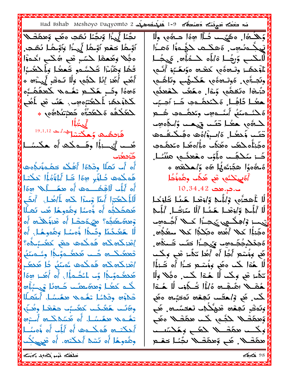E Had Bshab Meshoyo Daqyomto 2 مَعْدُمُه هُدَا 1-9 هَدَا بِهِ Had Bshab Meshoyo Daqyomto 2 وُكْتُهَا. دَهَّيْتَ شَاْلَ هِدًا حَدَّةٌ وَلَّا ىجَىْا ِيُّ;ا وِّىجَىْا نُھْج ەھُے وَّمحَمَّصْلا تَهِجُّدَسُومٍ وَهِكْتُمَا حُؤُلُّدَةُ وَهَــَٰٓا أَوُّحُما حَمْعِ أَوُّحُما ﴾ُ أَيْ أَوَأَوُّحُما نُشَجٍ. َهِ فَلاَ وَهُمِمْلِ حَسَّمٍ هُبِ هُكُبِ الْحَمْوَا لَّامْكْبِ وَرَجُّا ةَالَمُّهِ كَــةُلُّهِ. وَجُمَّا حُهُا وِهَّزْسْا خَكْسُمو خُعِعْا وِلْمِكْسَاْ لْمُحطَّ وِلْـ300 كَعْدُ 50 كَمِنْكُمْ أَلْـ20 أَهُبِ أُهَٰذٍ إِنَّا لِكَبُّمِ وَلَّا نَـٰهَـٰٓمٍ لِّيَـٰٓٓٓٓ۞ \* وِنۡحِـزَّاقٍ ۚ وَوِتَــ90ُ مِ مَكْـدِّهَــ وِنَاهُــهِ ۖ دَّمَةَ الْمَعْمَى وَمَدًا. مَعَمَّد لِمُعَدَّمِ كَاهَا وَضَعِ هَكُمْ تَقْسُمْهُ كَعْقَقْدُوْهِ لَكُمْؤُهِمُ; أَلَكْعُتَبُوهِ . هُمُ ثَمّ أُهُم هعُما دَٰاجُما. هَڪُمْهُدب ڪَ: اُجِيَء للعَكْفُه هَلْمَكْتُرُه ضَعْبَتْتُلَادُهِ \* هَٰ كَـُــٰـٰٓمِنۡـُـٰٓ أُمُنُــٰـٰءَوِت وِنَحْفُــٰـٰءَب ۖ هُــُــمِّ لَّكَ تُذَكِّرا<br>كَزْدْهُدْ كَرْهَدْتْمَا <sup>حدادة</sup> 19.1.12 لَكُمُواْمِ الْمَصْرِيَّةِ سَنَّةَ الْمُعَمَّرِ وَقُالِمًا مِنْ مَنْ الْمُعَامَّةِ مِنْ مَنْ مَنْ 5كُ ذُهْكَا. 16كُ وْالْمَارْدُا وْمُتَكَبِّدُوْ وَمُسَلَّدَةً هُـــد أَيْـــزِيُّا وهُـــدكُـبْ أَه هكْـسُـــا وجَزَأُوحِكَ وَهُنَكَ وَبِأَ/وَهُـا وَعُجْفُوب كَة مَكْجَبٍ مِلَّوَتٍ مَقْعَدَّے مَسْتَار كادهكنت أَه أَبِ تَعلَلا وَثَدْهَا أَفُكُمْ حَقُدَوْنِدُوهَا هُ مِثْحَمُوا هِجَنَّهُ لَمْ هُ وَاسْطَعْتُهِ \* فَمكُمْ دُاؤْرٍ وَهَا ظَا أَلِمَّةُ اُ يَحْكُمُا أَهْلِيَكْتُمْ هُو هُكُم وهُدُوُكُم أَه أَبَلَ لَاقِعُهُ وها أَهْ مِهَا إِلا مَا أَ  $10.34.42$ لَّالِمُحْمَّتِهِ! أَمِنَا وَمِمْا حْمَّ لَمُأْهُدا. أَنضَ لًا أَهجَرَى وَ}ِلَم وَ}وَها هَيئًا خَاوَكًا هُعجُلاَبُه أَه ؤُمِيْا وَهُوها هُد تَعِبَّا لًا أَبَلَـٰهِ وَٰٓاٰذِقَـٰـا ۖ هُـنُـا ٱلَّا حَدَٰنُـا ۚ ٱلۡلَّـٰهِ وْهِهُ عَلَيْمَ؟ هَيُمُحَصَّلِ أَه شَرْفُلِكُ ٥ أُه أَيْبِ: وْاهِكْسِي يُحِبُّ لَمَكُ أَجْدُوهِ لًا هَعَْنَكْنَا وَضَّمُّا وُّوسُا وَهُوهِكَا. أَو ەجَزْلَمْ كَمْلا أُهُدِه وَجَكْبًا كَمْلا مْعَكُبُرُه. أشركهكه فُملُمِ حقْ كَعَسَرُهُهَ؟ ەَجْكَـدْرِجُجَـدەەِب وَكِجِجْرَا حَسَّب خَــمَةَه ِ هَٰیٖ وَفُسْعِ أَجَٰا أَه أَهْلِ یَٰذًا وَ هَٰی وَجُنب تَعتَمَّكُ مَ شَبِّ مُحَمَّدَوُنَهُ أَوشُدَمُو لًا هُدْا كُم مِعْ وَوُسْمِ حَـزًا أَه خَـزِيًٰا اقْتِكُلُوكُمْ فَمَكْمُعَا شَمْئَةٍ ذَا هُدَهَا. مَحْدَثُوبُهِ ۖ وَ النُشُوبُ ۚ إِن أَو أُهَدَ وَ وَا تَمَّمَ هُو وَكُب لًا هُـءَا كُـب هَ وَلَا وَلًا لَّكُمْ كَعُمَا وْهَمُحْسَبُ حَسَنَا فِي أَلَهِ هُهْبِ اهْبِهِـ ۞ وَالْمِ الصُّجُودِ لَا هُــْةَ ا تْحَاوْرُه وِتْحَاسًا تَعْتَمَدْ مِعْسَسًا. أَيْتَعَبَّلَا لَكْتَ هُمْ وْأَحْقَبَتْ تُحِقُّوهُ تُوَفِّيْهِ وَهُمْ وائألب هَقُبلُب كَعُبِيَّب حققْهِ وهُدَّى ُوَتَوْتُمْ تَجْعُرُهُ شَيْئَكُمْ لَعْصَنَّىدُهُ ۚ هَٰلَ تعُديه معمَّسًا. أو هُندَ الله الله الله وَْهِكُفْ لَا حُجُمٍ كُب هِكَفْ هَ مَهْم أَحكتـــره هَمكـــمعا أَه أَبِلًـا أَه وُمنُــا وكُــــا هكَشْـــالا لمكَـــع وهَلاسُلـــا وهُومِهُا أَو يُسْمِ أَحكْتُهِ. أَو شَيِيلُكُ همَّفْـــلا. هُــ وَهمَّفْــلا بِمَـُـا حَمْــم لَّكُمُ الْمُوَامِ لِكُمُ بَاسَ الْمَرْكَبَةِ مِنْ الْمَدَّوْسَةَ  $\mathbf{K}$ g $\mathbf{K}$ g $\mathbf{A}$  98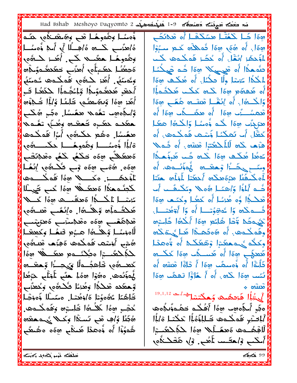E Had Bshab Meshoyo Daqyomto 2 مَعْمُد 1-9 هَدَّا بِهُمْ Had Bshab Meshoyo Daqyomto 2 هَهَ أَكُمْ الْكُمْتُمَا مُسَلَّكَهُ أَو مُحَاتِكُمْ وْْەمْسَا وْݣُەمْمْسَا قْبْ وْھَمْشْتْدُى حْتَىمْ ةُاهِنَبِ كَـــهِ ةَاهِـــُلا لَى أَمِهِ وُهِمْــا ادة أو ووَّة ووَّة أَهْمَلَهُ كَمِّل مُؤَا وَهُومِمُا هَقُمِيهِ كُبِي أُهُدَ كَنُوهِ، لمَؤْهِقَ النَّقَلِ أَو حُدِّ: فَوكُوها كُب حَقْمَهُ أَو مَحْمَدِ ﴾ [ 30] شَمْ شَهْدُنَا هَجعُتُــا حعَــُــزِـأُٯ أُهزَى حَعَدهُــووُــدِّهِ المكمُل حُبْسًا وِلًا حَكْبًا. أَو هُكْفٌ 50 وَثَمَنَكُ, أُهَٰذِ لِكُنُّهُ وَعُمَلُكُمْ شُمِنَكُمْ أَه هُدْهُمْ مِهَا كُلْمَ كَكُبْ هُكْشُهِ ا أَحشَر مَحمَدُدمَا وَلِمُجُـدلًا كَحَمَٰـا كَـر وَاحْدُهُا. أَهْ إِنْشَا هُشَهْ هُمُ وَهَا أُهُدَ وَهُ! وُنهُ عِنْنِي خَالِبًا وُ}،أَ! خُلِمْوَو هُدمسُورٌ وَ وَ أَوْ هَذَا لَهُ وَ وَ أَوْ وَٱلْمُوَاوِمَا تَغُولًا مَعْنَسُلَ وَجُمْ الْأَكْتَبِ مؤجَّد ووَا كُمْ ذُوسُا وَالْحُوْا عِظَا بمككت بمكبره كُمعْده وهُبٍّ تمُسَملا كَفْلًا. أَبِ تَعَكّْبُا وُسْعَا فَوَكَّوْهِ. أَو همَسُل وهُم مكْتُوهِ أَيُرا فَوكُوها ةَ الْمَالَ وْهِيمُ الْمَحْمَدِ الْمَحْسَنَةِ مِنْ مَنْ الْمَحْسَنَةِ وَمِنْ فَنِم كُلُّهِ لَلْمُحْضَرَا مُسْنَى أَو شُمِحًا مُعَمَّل هُكُمُ 50 كُمَّة كُمَّة هُمْ أَهْلِيَّة مُحَمَّل ەَمىكللىّم «ەَە حَكْمُ كْلُمْ ەشلاكْتىم ومَّاسِ بِحَسَنُوا وَبِعَقْدِهِ - يُحَوَّنُسَمِهِ. أَه المُفْارِ مِنْ مَوْمَ وَسِي كُلْمُ مِنْ الْمُسَلَّ أَوْكَمِقْلَ مِرْؤُمِكُمْ أَحْمَٰنَا لَمُؤْلُمْ هَنَّا لْمُحِنُّمِهَا أُمِّعَا الْمُعَمَّلَا مِنْ أَمْتُمْ تَجْمِيلًا حُــد أَلمْزًا وَاهمَــا هُولا ومَكْتفَـت أَب هَكُمُّا وُهِ هُزْسًا أَوْ كَعُمَّا وِكْتَبُ 50\$ مُنْتَسَلَ مُلْكُمُ أَهْدَهُـــهِ وَهُ أَكْسَلَا مَكْتُــه أَلَّهُ وَلِكُــهُ أَنْ مَالِكُبَ هُـــهُمْ وَ ئُـــوكُلُّ وَا خُوَوْنَـــا أَو وَا أَوْهُنَـــا. أَجْهُدِهُمْ تَوْدًا هُلِّمُ وَهَا أَجْدُهُ أَحْلَبُو تَعْجَمَعْبَ وَهُهِ مَقْدَسْنَبِ هُمْتَنْهَب لأدنسا وَكَلُّهُ عَبُّم قَسْاً وَكَعِيْنَا وَهَمَكُمُعَةٍ. أَوْ وَهُوَهُمَا هَا يُهَمَّلُو وكَلُّم يُدْهَمُوْا وْتَعَطَّكُمْ أَنْ وُّدْهَدًا رەشى أَفِسْعا قَامكان ەچزَما شىلۇە مُعدَىٰ وَءَا أَو مُسَــدٌ وَءَا كَكَــو للكلكسة ودكتهم مكت موة كعدشى خلعجُدالًا وَيُحِبُّوا وَحَمْدَتِهِ كَلُّتْهَ أَو ذُوسِعًب مِوَا أَ تَلَوَّا هُسْمٍ أَو نُسَب (26 لَكُمْ)، أَو أَمْ هَارْوَا تَعْقُبُ (26 لْمُؤَنُّصِ وَالْقَالِمِ مِنْمٍ لَمَنْ الْمَثْلُ حَزَّمُوا وَّحكَده شَكْبًا وَهُٰٓئِمَا ثَكْلُّهُم وَخُعْنَب  $\cdot$   $\sim$ لْهُمَّا هُوَدِهُمِهِ وَحَكَّنَتْمَا هَ 19.1.12 خَاهُمًا مُثَّومُوْتا هَ/وْهُـْتا. وممّىـلًا وُووْجْـا |وَجِّمِ أَلْجُوهِما هَوْا أَفْكُمْ حَصُوْنَكُمُوهَا لُكْتِبِ وَهُا لَكُنَّهُا ثَاسِبُرْهِ وَفَمَكْنَوهِ. ٱلمِاحَنَّى هَمكْمُعَهُ خَلْلِؤُهُلًا تَكْتَبَلُ وَالْمَلَا الْمَمَا وُلِهِ شَيْ نَسْنَا وَكَلا يُحْمَدُه لْلْقِصُدِهِ هُمِعَمَلِكَ 30\$ كَبِرَحْمَمِينِ ِّقُوٰٓؤُا أَه ؤُهِمَدْا هُنگُلٍ وَهُه هِغُمِّكٍ أَسْكَبِ وْاهْتَسْتْ يْأْهُبْ. وْلِي هَتْكَنْدُور

محشابهم كرامخش سابقه محلفكم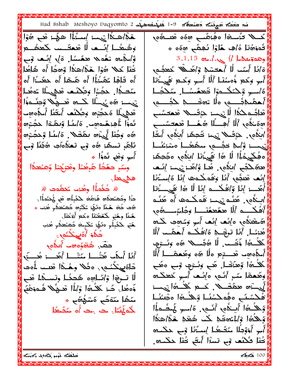ئ<del>ە: دَعُنُگ،</del> شَهْنُشُکُ، شَائْتُكُمْ 1-9 مُلْمَ 1-9 مُلْمَشْتُمْتُ Had Bshab Meshoyo Daqyomto 2 اءَمَّا صَدَّ الْمَسْنَدِ إِسْرَ الْمَصَادِ مِنْ الْمَسْتَمَامَ كَمِلًا تَزْسَةَا وَفُزْهُبٍ وَوَّهِ هُنَّوْهِ وَهُبَعُنَا إِنَّنِي لَا مُحَكَّنِينَ كَعَدَهُنَّــُمْ وْ ثُدوْهُ لَا ذَٰ} فِي حَدَّاثِوا سُمِّعَى وَوَدَهُ ﴾ وَّاكِلُوه تَعْدِيهِ هَمْسُلَ 16) إِنَّمَا وَبِ  $3.1.15$  or.  $\sim$  ( Lasses) 8/ثَل أَسَّب لَّا أَحْصَدْ وْاهَــلَّا كَعْشَمْ و خُنَا كَلا هُوَا هَذَاهِكُمْ وَهجُا أَه هَاهُا أَه قُافِا مُعُبُّزُا أَه هُبِعْا أَه حِعُبُّا أَه أَسِ وَكُمْ وَّْمِسُنَا ٱلْلا أَسِرِ وَكُمْ فَيْ زُنَا ة/سبر وَحْتَكُــهوا خَعْمَسُــا. مَكْحُــا مَّدجُّل حجُبُرا وجَعْلُـم مَعيْنِ الْمَحْمَــا أَمْصَنُّهِ كُلِّصَةَ مَكَّمَ الْمَرْهُ مِنْ مَنْ يَسْرِيُّ أَحْمَدُ الْمُسْتَمَّى وَالْمُ تَحْمَدُ مِنْ الْمُؤْسَسِينَ مِنْ الْمُؤْسَسِينَ تَعطِيطًا هَحجُرْه وَجُحْتُم أَحدًا أَحكُموهِ هْلِكُــمْتَكُمْ لْلْـ يْبِمِــزِ لَهْ تُنْفَسِيَةٍ مِنْ مَسْتَمِينٍ وَهَنَّفُو ٱللَّهُ أَهِـــُلَّا هُـمُـــا شَعْصَبُــبِ ثَوْا أُهِبْعُوهِ ﴾ وُاعْلَ وُبِكُمْ دَجْبَهِ هَ وَجُلْأَ يُّ مِّنَ سَكْتُمْ ﴾ وَاسُلْ وَجِجْجُوهِ أَيْدًاهِ , حَزَّضُلا يَهِمْ ضَحِمًا أَيْدًاهِ أَمْثَا تُلِّكُمْ تَسْطُرْ ۞ه وْبِ تَعْكُلُّاتُ وَكُلُّا وْبِ يَجِب: وَٱلْمِ دَجَّـــمِ مِنفُعُـــا مِنْـزَعْنَـــا مَفْكِيمًا لَا هَٰا قَيْرَةَ اهْ لَا الْمُرْكِّفُ ه أُمِيرٍ وَهُدٍ ثُمَوًّا ﴾ وسًا حمَّحًا هَامُنَا وقتوجُنا وَهنُعدًا هِهَكُبُم النُّامِ. هُـا وُاهُـ: يَهـ: إِنْـَمَـ إِلَٰهٍ شَبْحُوا أَبَٰلَ وَقَوِيكُوهَا إِبَٰلَ وَإِسْتَرَبَّلَ . لصركه **& حُثْماُ! وهُزم مُحفَّدت &** أُهَٰد: إِنَّا وَٱنفُكْده إِنَّا لَّا هَا فَي ذُلَّا دَٰۥٗا وحَٰھئَعدَاہ فَۂھُۂ حکۡبِلۡہ تَی ہُٰحَثَماُّا۔ ابِنَدُّهِ, هَنْـهِ يَهْبَ فَهِكْـهِ لَهُ هَنْـهِ هُت دُهُ هُناً مَنَهُ: عَكْرُه كَعْنُعَكُمْ هُ: • أَفُكْـــهِ ٱلْلَّــعَمَّصْـــل وَجَلَّيْـــــ رَّهُ مِ هَمِنْا وهَبْ كَمْعَكْنْدَا 5كَمْ أَوْكُنْا. كَاحْتَنِكُمْ وَإِنَّعَهَ إِنَّعَهُ أُمِيو وَخَلَّمَهِ لَكَلَّهَ هُمْ لِكَبِلُو مَنْهَا كَلْبِيهِ كَعِنْعِدُو هُابِ هُٰزئُــل أَنُل تَرِجْـــبِّ هَاٰتَعُــُــهِ أَلْــعَـَــب ٱلْل ِّڪُلُوَ آهُن گُنُورِ .<br>حق هُوَوه آنگُور ِيْكُـِرُهُ| وَُتَـُـب, لَٰا رُهُجَـــــلا رَهُ٥ وَيُــــْوَجِـ أَكْمِهِ وَصَدْعٍ وَلَا وَهُ وَهُدَهَا أَلَّا أَمَلَا أَسْلَمَــ هَتُنْــــا مَتْنَـــا أَهَـــــ; هُبِـــَنِي ِيْكُوْا وُمِنَوْصًا. هُـبِ وَسُوْدٍ وْبِ وَهُـبِ دْلَةَ بِيَكْسُمِ. وَثَلاَ وِهُـذَا ثَعْلَـد لِمُصَافِحَة وَهُعَمْلَ مَيْمٍ أَنَّبِي وَإِنَّفَ أَمِيزٍ كَعَنْدُهِ لًا تَــرِبُوا وْ/تَــارْوه هُـحَـدًـا وتَـســدًا مْب أَيِّ مِنَ مَعَصَّلًا. كَمَّ مَ لَكُمُّ اتَّهَا يَ ذُهِ هُلَّا. كُـز لَكْـ هُ| وْ/لُمْ هُــوْبُلا فُــودْهُهُـ فَكْسُبُ وَفُمَكْسُلُ وَكُلُّوهُ وَجَسُلًا } مُمُعَا مُتَمَّى هُنْدُهُمْ \* أَوَّلِكُـدُّا أَبِـنَدُّى أَنَّـى. هَاـــِر لَمِـتُــمِلَّا لْحُمْلُمُّا. ت بت أو مَنْصُعُا أَوَ الْأَهَا وَالْمَحْجَدِ كُبِ هُعْجِ هَجَا هَذَا أَأَسِ أَوْوَّدُلَا مَّتَصَعُّا إِسْزَنَا وَبِ حَكْسِهِ إِخْتَا كُنْفَ فِي تَسْأَلُ أَيضٌ خُتَا حَكْتُو.

تلنابه بالمتلكم سأم تلفظة

 $4.6$  100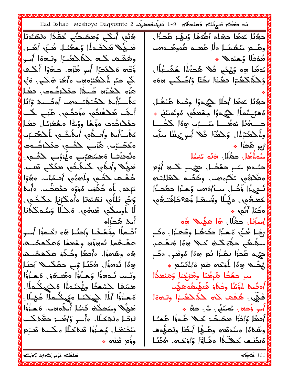ئ<del>ە دى</del>َئىگە ئىچىلىگە Had Bshab Meshoyo Daqyomto 2 ئىگەھىگە 1-9 kd<del>r</del> هُنُم أَسْكُم وَهرَهُمحَنَّمِ عُقُدًا وتَتَعَدُّونَا حَوْمًا عَمَعًا حَوْمًاه أَهْتَفَا وَبِهَٰ: هَدُاْ. تَعَــوُلا مَكْـدَمُاْ وَحَمَدُـا. مُــَىٰ أَمَّــز. وهُــع مَنْهُمُــل هِ لَٰلا هُعنــه هُووَهُـــووى وهُڤَـعَا كَـْدَهُ لِـكَلَمَـٰئُمْـُمُّ وَلَـدِهِ ٱلْمَــوِ وَأَشْرَاهُمْ وَحَسَنَهُ ﴾ [ عَمَدا هِه وَلِحَبِ ثَلا هَدَٰٓ أَا هَفَسُّ أَا. ذَٰدُه مَكْكَرُا أَس هُٰٓزَه. حَـهُوۡا أَكْـف كُمْ حَمْرٍ لَمَكْتَبَرَهِ وَمَا وَأَهَدَ وَهُكُمْ. وَ إِلَ وَحِكَمَحْكَمَ ۚ الحَثَّارِ وَٱحَسَّلَـ وَٱهُ وَ هَزَه لحَمْـٰٓزَوه حُــٰمةُ! حثَـٰهَـٰوَت حَمَـٰـا حَمَّـٰا تكمُسْأَلُه للصَّنهُ تَسمِع أَهتَسِهِ وَاتْل حەُنُا عَمَدا ٱحلَّا حَيُحوُا وصْحْ هَنُعُـا. أَلَمُكَ هَٰذَهُدُو وَخُدُوبٍ. هُنْكِ لَكُتَ \$ طِنْحَمْلَ الْمَهْجَاءُ | وَهْتَدَنَّعَ وَهُوَجَمَعَةً ﴾ حَكَلاحُهِ دَوْهُمْ وَوُغْهُ مَعُعُبْتُ!. حَعْدُ بَدَّسَنُهُ وأَسِدُّه، أَحدُشُـه، لَمحمَّت مَ وِلَمَحْتَبَئِمَا. وَحَمْنَوْا ثَلا أَسِ يَسْلَا مِنْك ەڭقىئە. ھُزىب للثُسە جىڭلاشىمە  $\frac{1}{2}$ بِ هَدُا \* لْأَمْدَاكُمْلْ. حَمُّلْلْ. رَهُنَّهُ عَنْظُلْ ەئەئتىلە ەھسّمىت ەھُزۇب للشّـم. تَعَهَّلا وأَندُّه، كَمَذَّمَتُه، مَكَكَبٍ تَعْبٍ. حنَّـه من حَمَّصًا. هيْبِ كَــهِ أُوُم هُقَـْعَـٰ لِأَشَٰهِ ۚ وِلَمْعَهُمْ أَصَـٰمَاتٌ ۚ مَعُوْٓا ەئْلاشى ئكْبُەس. وْھَئْىم لْمْعْلَمْتُمْ مَّدِهِ . لَمَ حُكَّوْب هُوْوَه حثْعَضُب ه/ُكْم لَّـمِيدًا ذَكَــا. ممثّلُهُ10 وَحَــْزَا حمَّدــزَا وَّاكَ تُلَلُّهِ تَتَعَنُّونَا ه ُوكْرُبَا حَكْشُو، كعدةُهب ولَيُـلًا وتُسعْدا ذُهـُ كَاكَتْـرَةُهم لًا أُوسِكُمٍ مُعْتَقُمٍ. هَكْلًا وَمُنْـمَكْلُانًا <mark>∲</mark> ہڪّ*تا* }َثُم \* لْأَ إِسْزَنَا . حَمَلًا . وَ أَلْمَ مِنَ اللَّهُ وَ وَ أمط هُجُزَاءِ. ٱذْـٰهاًا وِذَهَّىنُـا وَٱحنُـا ۞ه لنُـٰهوَٰا أُـــو رِجُـا هُـَىٰ هَـمـُٰا حَدَّهُـا وِحْهـُٰا وَصْحَبَ هفَىڤُما نُەھۥُو مِمْعِمَا ەَمَكْعَشَــِدَ سكَسْفَ حِكْتَمْتُ كَمِلًا هِهُ أَمَّلَهُ عِبَ. هُه وِهُموٰوٗا. ه∫ُتمُا وِصُـٰأَوْ هكْـفشَــه كَهِمْ هَدَٰا بِمَّنَا بُمْ هِهَا هُوْهُنِ. وَكُنْ لِمَّمَلا هِمَّا لَمْوْدُه هُمْ وَالْمُنَمْعِ \* امِهُا نُوهُوُا. هُكُنُا وِّبِ حَكَّمُــلا آَحِنُـا وِيَّىب شَمْهُوْا وَجِعَةُوْا مَعْبَدُهُوْ. مُجَــَّوُّا سر حمَّحُا هُرِهُنَا وِهْتِهُمْا وَهِنَاهُا هسَفَا حمْعَطُ وهُحْدَه الله مَحْهِكُماًا. أُهضُم لمُؤْسُلُ وحُكُوْ هُلِمُحَشَّوهِ هُب أَلْمَا أَمَلُكُمْ مِنْ الْمُكْتَبَطِ الْمَا أَوْجَاهُمْ مَنْ الْمَالِيَةِ مِنْ الْمَالِيَةِ مِنْ ا قَبِّي. هُقْعَد ذَهِ لِلْمَلَاهُمْ وَالْمَوْهَ هْدُلا وسُحكْنَه دَّنْـا أَسْلُهِ مِنْ هَـمَّزُوْا لا أُمِن وَّدَه . شَمَعُنُ . تُ . درُّه \* أَحعُل وَادُّا مِنَّفَسَدَ كَبِيلًا هُـوَٰوًا هَمْنَا تَرْضَا هَتَمْكَــْلَا. ه/ُـــرِ وُ/هُـــ; حَقُّمْكَــد وهَٰٰهُا مِنُوهُو وهُنهُا أَيضُلُّ وتَعِيُّوف مَكَتْعْدَا. وَحَذُوًّا مْحَكَـلًا مكْــحْ مْــْرَم ەَىكَتَـْ كَـْكَـْدًا وَقَـاوْۤا وَۗاوْتَــْ، شَكَـُـا  $\bullet$  oito  $\circ$ مَنْ مُعَامَدٍ مَعَ مَنْ مَنْ مَنْ مَسْتَمَرْ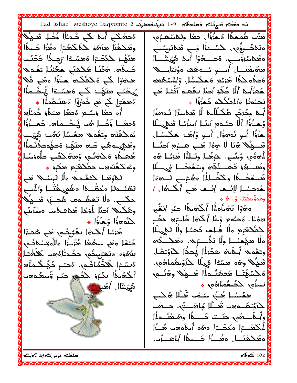and Bshab Meshoyo Daqyomto 2 مَعْمُد 1-9 هَدَّ الْحَمَدُ 1-9 مَعْمَدًا Had Bshab Meshoyo Daqyomto 2 هُنَّد هُمَعِدًا هَعَزُوًا. تَعْلَم وِتَمْسَعَةً وَ ەَدەُكْبَ أَىمْكَى شُمْأَا زُمَّا. شَـوْبًا وهَكَعُلًا هَأَهُو كَذَكَهُمْ! هَغُزًا حَـٰجًا! ەتكاكَــرؤْهي. ݣْـسْــزْلْمْ وْبْ هْكْتُرْبِيْس هِ هَكْمُنْزُوْسِبِ. هُ حَسْبُوْا أَمْكَ هَيْ شَمْال هلَكُ: حَكَّصْرًا هَهِسَـٰهَا رَجِـٰهُا حَجَّبَـٰب كَــدْ10. 3ْكُلُّا هُـدْهَلُ ـههَّنْدُا تَـهُـه هِهَ حَقْسًا. أُسْسِ مُسْوَعُهِ وَوُتَبَاسِيِلًا هـرهُوٓا کُم هَکْتُکُم هـزُوَّا هِ قَدْ قُلا ەَحدُّەخدَّا هَٰزِعُم مَحكَّىتْل وْالمُعَهُم هَٰدَٰٓ; ٱللہُ كَلَّا وَ اَصْلَا بِفَعِيمَ اَثْبَا أَسْ الْمَـشَنَّ امْـنمه سِـكْ نِـهْنَه سِنْتَرِرْ هَ مَعْقَوْلَ لَكُمْ هُو خُوْرَةُ الْمَعْشَفَةُ الْمَعْشَفَةُ الْمَعْشَفَةُ الْمَعْشَفَةُ الْمَعْشَف تعثوبًا 1/6كَكْكُ جُعْزُوًا ﴾ أَما وحَرَبَ هَكَمُلَأَما لَا شَامِمْا نُوهِؤُا أَه تتمُّا وَمُنْتَم هَتْتُدَا مِنْكُوْ ثُدْنُاهَ وَحِدْوَٰا ٱلْلَّا حَسَّمَهِ ٱسْلَا اِسْتَمَا قَوْمِيَا الْمَحْمَدِينَ الْمَ ەَحھُــا وَّحُــا ھُ۔ کُمِــُّــہِٱھ. خَمــزُوُّا مُكْفُلُه وَعُفْكَ هُمُسُلْ لَهُ ـز هُيُك هَزُوًّا أَمِي ثَهِ هُوُّل. أَمِي وْاهْدْ هِكْمِسْل. تَعْـــوْيَلا هُنُا لَا هِءُا تَعْبِ هِـــرُمْ نُحِنُــا وثَعِيْهِـدهُــم شَـــرَة مَعَيَّفَــدَ مَكْمُــدَّانُــدَاْ هُھـكُو ەَـلاهُنُـم وَههَـلاَصُـم حاْهوْمُـا ـأَههُم، وَمِنَّــمٍ. حَرَّهُــا وِنَــالْمَا هُـزَــُـا هَم وهُنسوَة وَ حَمَدْتُهُ مِنْهُدَهُ الْمَجْمَعَةِ مِنْهُمْ مِنْ وثَه تَكْفُتُه مِن حَثْكُثَرَهِ مِكْبُوْ ﴾ ثَلاَوُهْـا لِكَمُّـهِ لَا قَالَ لَبِسًا لَهُ هَــم هُسقحُــدًا وكتُــالمًا ههُــْبَـــ تَـــهةا لِتَقْسُمِهُمْ الْمُنْمَةُ وَالْمُسْتَمَاءِ مُسْتَقِينًا وَٱلْمَسْتَمَرَّةَ هُوصِمُــا لِلِنُــمِ إِنْــمِ هَبِ أَبْحُـــوَٰا. 1 وهُوتُبِيكُمْلُ . وْ . ﴿ وَ حكَّـب. ولَّا تَعشَــوم هَجــبُ مَّــوُّلا هِ وَوَا لَهُ نُوَا أَكْدُهُ وَا صَرِ إِنْقُبِ وهَكُنلا أَصَلَ لَمُؤْكَلَ هُدُهِكُمْتِ وَسُآتِبَ هەُمُّا. ەَحْدُە رُسُّا أَىڭدە كَلْتِرە حَصَّر لِكَفُّوهُ وَلَعَزْوَا \* لحثكثترم ولأ فُلِم دُهنا ولا تكميلًا هُنسُا أَحْدَهُ! تَفَرَّضُهِ مَن هُدَاْ ەللەھكىل وللە تىگىسىمىد. مەككىنگە كُتْعًا وَهْدٍ سَعُعُلٍ هُزُنُوْا وَالْوَتِسُلَافُورِ وتعُميه أَحذَمه هدَٰ; أَم لَحِدًا جَادَتَهُ الْمَسْ سَنَّهُوْهِ وَتُعْجَمِيْهُمْ حَضَّوَتُلَهُومَا لَلْأَنْقُصْلَ مْعِيْلًا وِهُه هِنَدْهُ أَيْنَا كُلْمُ مَعْهُد*اهُ*مِ. ەَسَتْرَا ݣَلْاتُمُادْـُـمِ. ەَحتَـر كَهُنْـكْـملْ10 أَكْمُنْكُمُ لَكُمْ لِكُنُّهِ وَمَنْ وَمُنْقَدِهِ مَكْتَكِتْـا مُحصُّـْـماْا مْـــوْلا وەتْــى تَسِلُّهِ لِكَسْفَاهُهِ \* كَيْتْلا. أَشْبِ<del>يْتِهِ الْمُسْتَمَ</del>ارِ ھمَسُل هُــَنَ مَـَــَهُ شَــُلَّا هُكَـب لِمَأْوُّتِكَـــدەم شَّــْلَا وَلِمُعْـــتُر. حـــومَ وأمكْسوه من حَسْدًا وهَمعْنُداً لمُتَحَمَّـــْ وَكَدَّــْ وَهُو أَحَدُّوه صَــُزَا وهَكَفُسًا. وهُسْأَا جَسَمًا أَلمَسَنُفْ بناوهم عروفن سوبه بنفلة  $\frac{102}{102}$